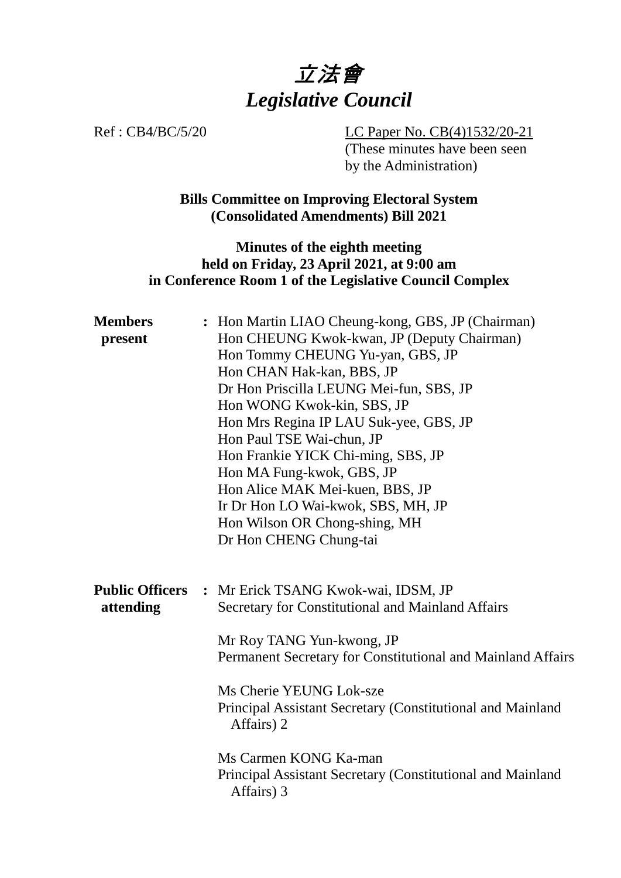

Ref : CB4/BC/5/20 LC Paper No. CB(4)1532/20-21 (These minutes have been seen by the Administration)

> **Bills Committee on Improving Electoral System (Consolidated Amendments) Bill 2021**

### **Minutes of the eighth meeting held on Friday, 23 April 2021, at 9:00 am in Conference Room 1 of the Legislative Council Complex**

| <b>Members</b><br>present           | : Hon Martin LIAO Cheung-kong, GBS, JP (Chairman)<br>Hon CHEUNG Kwok-kwan, JP (Deputy Chairman)<br>Hon Tommy CHEUNG Yu-yan, GBS, JP<br>Hon CHAN Hak-kan, BBS, JP<br>Dr Hon Priscilla LEUNG Mei-fun, SBS, JP<br>Hon WONG Kwok-kin, SBS, JP<br>Hon Mrs Regina IP LAU Suk-yee, GBS, JP<br>Hon Paul TSE Wai-chun, JP<br>Hon Frankie YICK Chi-ming, SBS, JP<br>Hon MA Fung-kwok, GBS, JP<br>Hon Alice MAK Mei-kuen, BBS, JP<br>Ir Dr Hon LO Wai-kwok, SBS, MH, JP<br>Hon Wilson OR Chong-shing, MH<br>Dr Hon CHENG Chung-tai |
|-------------------------------------|-------------------------------------------------------------------------------------------------------------------------------------------------------------------------------------------------------------------------------------------------------------------------------------------------------------------------------------------------------------------------------------------------------------------------------------------------------------------------------------------------------------------------|
| <b>Public Officers</b><br>attending | : Mr Erick TSANG Kwok-wai, IDSM, JP<br>Secretary for Constitutional and Mainland Affairs<br>Mr Roy TANG Yun-kwong, JP<br>Permanent Secretary for Constitutional and Mainland Affairs<br>Ms Cherie YEUNG Lok-sze<br>Principal Assistant Secretary (Constitutional and Mainland<br>Affairs) 2                                                                                                                                                                                                                             |
|                                     | Ms Carmen KONG Ka-man<br>Principal Assistant Secretary (Constitutional and Mainland<br>Affairs) 3                                                                                                                                                                                                                                                                                                                                                                                                                       |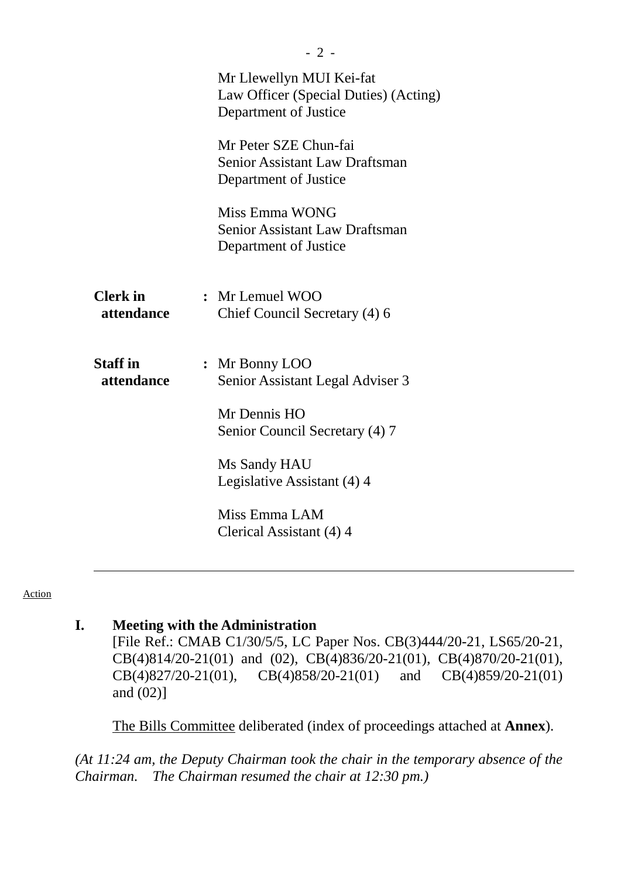|                               | Mr Llewellyn MUI Kei-fat<br>Law Officer (Special Duties) (Acting)<br>Department of Justice |  |
|-------------------------------|--------------------------------------------------------------------------------------------|--|
|                               | Mr Peter SZE Chun-fai<br><b>Senior Assistant Law Draftsman</b><br>Department of Justice    |  |
|                               | Miss Emma WONG<br><b>Senior Assistant Law Draftsman</b><br>Department of Justice           |  |
| <b>Clerk</b> in<br>attendance | : Mr Lemuel WOO<br>Chief Council Secretary (4) 6                                           |  |
| <b>Staff</b> in<br>attendance | : Mr Bonny LOO<br>Senior Assistant Legal Adviser 3                                         |  |
|                               | Mr Dennis HO<br>Senior Council Secretary (4) 7                                             |  |
|                               | Ms Sandy HAU<br>Legislative Assistant (4) 4                                                |  |
|                               | Miss Emma LAM<br>Clerical Assistant (4) 4                                                  |  |

Action

#### **I. Meeting with the Administration**

[File Ref.: CMAB C1/30/5/5, LC Paper Nos. CB(3)444/20-21, LS65/20-21, CB(4)814/20-21(01) and (02), CB(4)836/20-21(01), CB(4)870/20-21(01), CB(4)827/20-21(01), CB(4)858/20-21(01) and CB(4)859/20-21(01) and (02)]

1. The Bills Committee deliberated (index of proceedings attached at **Annex**).

*(At 11:24 am, the Deputy Chairman took the chair in the temporary absence of the Chairman. The Chairman resumed the chair at 12:30 pm.)*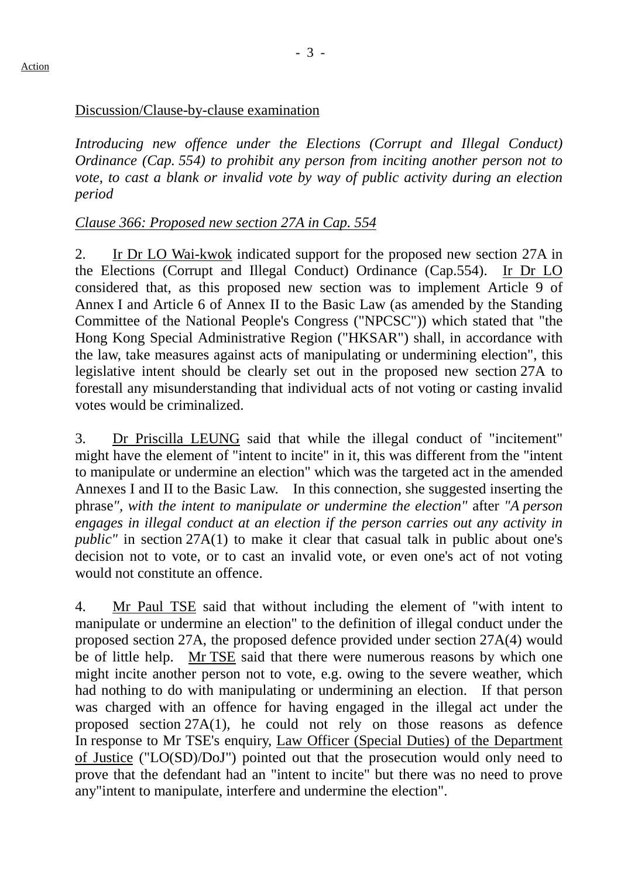#### Action

### Discussion/Clause-by-clause examination

*Introducing new offence under the Elections (Corrupt and Illegal Conduct) Ordinance (Cap. 554) to prohibit any person from inciting another person not to vote, to cast a blank or invalid vote by way of public activity during an election period*

# *Clause 366: Proposed new section 27A in Cap. 554*

2. Ir Dr LO Wai-kwok indicated support for the proposed new section 27A in the Elections (Corrupt and Illegal Conduct) Ordinance (Cap.554). Ir Dr LO considered that, as this proposed new section was to implement Article 9 of Annex I and Article 6 of Annex II to the Basic Law (as amended by the Standing Committee of the National People's Congress ("NPCSC")) which stated that "the Hong Kong Special Administrative Region ("HKSAR") shall, in accordance with the law, take measures against acts of manipulating or undermining election", this legislative intent should be clearly set out in the proposed new section 27A to forestall any misunderstanding that individual acts of not voting or casting invalid votes would be criminalized.

3. Dr Priscilla LEUNG said that while the illegal conduct of "incitement" might have the element of "intent to incite" in it, this was different from the "intent to manipulate or undermine an election" which was the targeted act in the amended Annexes I and II to the Basic Law. In this connection, she suggested inserting the phrase*", with the intent to manipulate or undermine the election"* after *"A person engages in illegal conduct at an election if the person carries out any activity in public*" in section 27A(1) to make it clear that casual talk in public about one's decision not to vote, or to cast an invalid vote, or even one's act of not voting would not constitute an offence.

4. Mr Paul TSE said that without including the element of "with intent to manipulate or undermine an election" to the definition of illegal conduct under the proposed section 27A, the proposed defence provided under section 27A(4) would be of little help. Mr TSE said that there were numerous reasons by which one might incite another person not to vote, e.g. owing to the severe weather, which had nothing to do with manipulating or undermining an election. If that person was charged with an offence for having engaged in the illegal act under the proposed section 27A(1), he could not rely on those reasons as defence In response to Mr TSE's enquiry, Law Officer (Special Duties) of the Department of Justice ("LO(SD)/DoJ") pointed out that the prosecution would only need to prove that the defendant had an "intent to incite" but there was no need to prove any"intent to manipulate, interfere and undermine the election".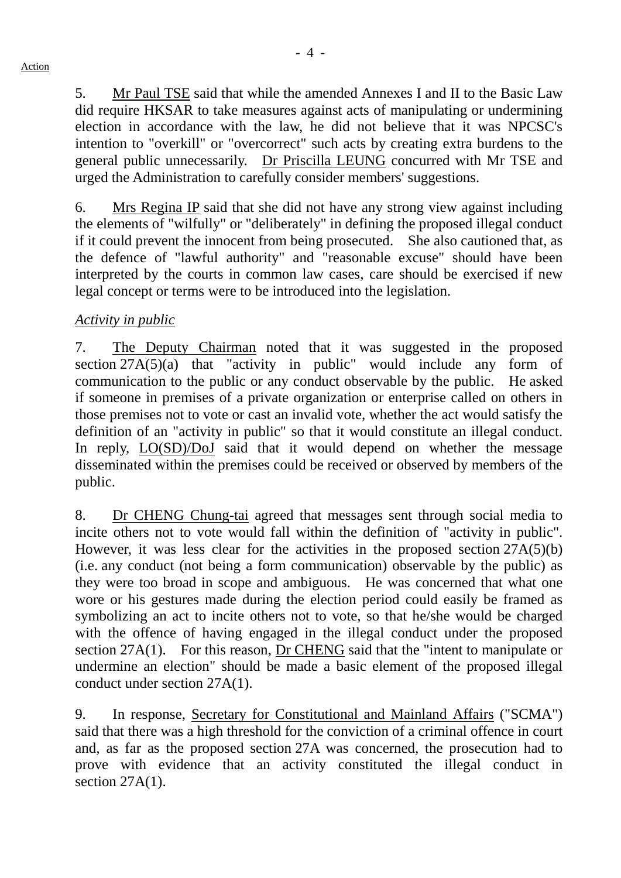5. Mr Paul TSE said that while the amended Annexes I and II to the Basic Law did require HKSAR to take measures against acts of manipulating or undermining election in accordance with the law, he did not believe that it was NPCSC's intention to "overkill" or "overcorrect" such acts by creating extra burdens to the general public unnecessarily. Dr Priscilla LEUNG concurred with Mr TSE and urged the Administration to carefully consider members' suggestions.

6. Mrs Regina IP said that she did not have any strong view against including the elements of "wilfully" or "deliberately" in defining the proposed illegal conduct if it could prevent the innocent from being prosecuted. She also cautioned that, as the defence of "lawful authority" and "reasonable excuse" should have been interpreted by the courts in common law cases, care should be exercised if new legal concept or terms were to be introduced into the legislation.

# *Activity in public*

7. The Deputy Chairman noted that it was suggested in the proposed section 27A(5)(a) that "activity in public" would include any form of communication to the public or any conduct observable by the public. He asked if someone in premises of a private organization or enterprise called on others in those premises not to vote or cast an invalid vote, whether the act would satisfy the definition of an "activity in public" so that it would constitute an illegal conduct. In reply, LO(SD)/DoJ said that it would depend on whether the message disseminated within the premises could be received or observed by members of the public.

8. Dr CHENG Chung-tai agreed that messages sent through social media to incite others not to vote would fall within the definition of "activity in public". However, it was less clear for the activities in the proposed section  $27A(5)(b)$ (i.e. any conduct (not being a form communication) observable by the public) as they were too broad in scope and ambiguous. He was concerned that what one wore or his gestures made during the election period could easily be framed as symbolizing an act to incite others not to vote, so that he/she would be charged with the offence of having engaged in the illegal conduct under the proposed section 27A(1). For this reason, Dr CHENG said that the "intent to manipulate or undermine an election" should be made a basic element of the proposed illegal conduct under section 27A(1).

9. In response, Secretary for Constitutional and Mainland Affairs ("SCMA") said that there was a high threshold for the conviction of a criminal offence in court and, as far as the proposed section 27A was concerned, the prosecution had to prove with evidence that an activity constituted the illegal conduct in section  $27A(1)$ .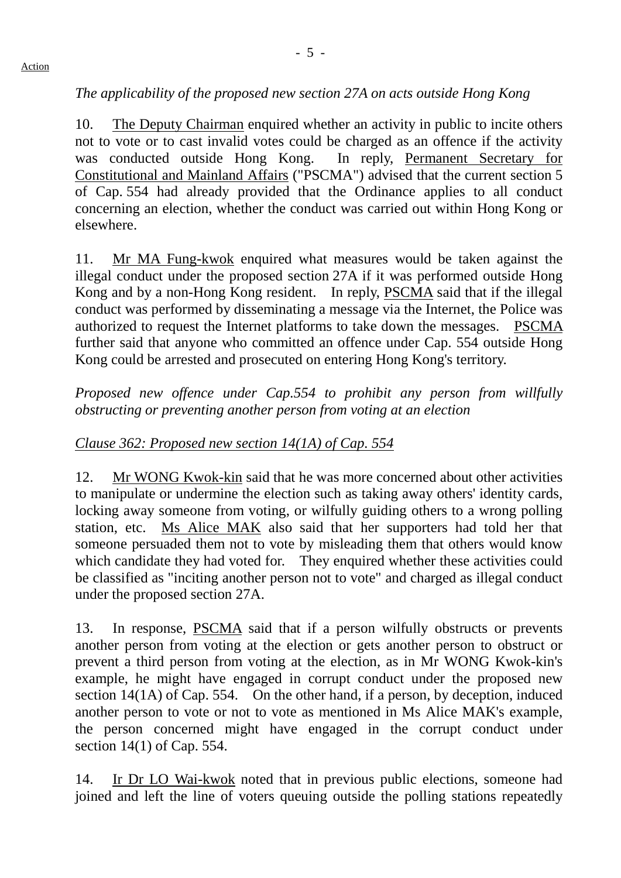# *The applicability of the proposed new section 27A on acts outside Hong Kong*

10. The Deputy Chairman enquired whether an activity in public to incite others not to vote or to cast invalid votes could be charged as an offence if the activity was conducted outside Hong Kong. In reply, Permanent Secretary for Constitutional and Mainland Affairs ("PSCMA") advised that the current section 5 of Cap. 554 had already provided that the Ordinance applies to all conduct concerning an election, whether the conduct was carried out within Hong Kong or elsewhere.

11. Mr MA Fung-kwok enquired what measures would be taken against the illegal conduct under the proposed section 27A if it was performed outside Hong Kong and by a non-Hong Kong resident. In reply, PSCMA said that if the illegal conduct was performed by disseminating a message via the Internet, the Police was authorized to request the Internet platforms to take down the messages. PSCMA further said that anyone who committed an offence under Cap. 554 outside Hong Kong could be arrested and prosecuted on entering Hong Kong's territory.

*Proposed new offence under Cap.554 to prohibit any person from willfully obstructing or preventing another person from voting at an election*

### *Clause 362: Proposed new section 14(1A) of Cap. 554*

12. Mr WONG Kwok-kin said that he was more concerned about other activities to manipulate or undermine the election such as taking away others' identity cards, locking away someone from voting, or wilfully guiding others to a wrong polling station, etc. Ms Alice MAK also said that her supporters had told her that someone persuaded them not to vote by misleading them that others would know which candidate they had voted for. They enquired whether these activities could be classified as "inciting another person not to vote" and charged as illegal conduct under the proposed section 27A.

13. In response, PSCMA said that if a person wilfully obstructs or prevents another person from voting at the election or gets another person to obstruct or prevent a third person from voting at the election, as in Mr WONG Kwok-kin's example, he might have engaged in corrupt conduct under the proposed new section 14(1A) of Cap. 554. On the other hand, if a person, by deception, induced another person to vote or not to vote as mentioned in Ms Alice MAK's example, the person concerned might have engaged in the corrupt conduct under section 14(1) of Cap. 554.

14. Ir Dr LO Wai-kwok noted that in previous public elections, someone had joined and left the line of voters queuing outside the polling stations repeatedly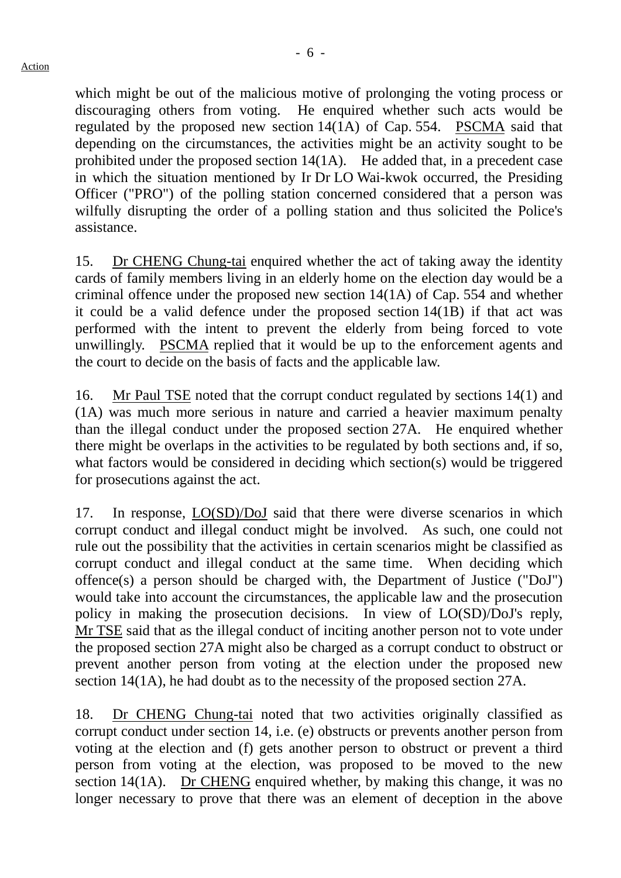which might be out of the malicious motive of prolonging the voting process or discouraging others from voting. He enquired whether such acts would be regulated by the proposed new section 14(1A) of Cap. 554. PSCMA said that depending on the circumstances, the activities might be an activity sought to be prohibited under the proposed section 14(1A). He added that, in a precedent case in which the situation mentioned by Ir Dr LO Wai-kwok occurred, the Presiding Officer ("PRO") of the polling station concerned considered that a person was wilfully disrupting the order of a polling station and thus solicited the Police's assistance.

15. Dr CHENG Chung-tai enquired whether the act of taking away the identity cards of family members living in an elderly home on the election day would be a criminal offence under the proposed new section 14(1A) of Cap. 554 and whether it could be a valid defence under the proposed section 14(1B) if that act was performed with the intent to prevent the elderly from being forced to vote unwillingly. PSCMA replied that it would be up to the enforcement agents and the court to decide on the basis of facts and the applicable law.

16. Mr Paul TSE noted that the corrupt conduct regulated by sections 14(1) and (1A) was much more serious in nature and carried a heavier maximum penalty than the illegal conduct under the proposed section 27A. He enquired whether there might be overlaps in the activities to be regulated by both sections and, if so, what factors would be considered in deciding which section(s) would be triggered for prosecutions against the act.

17. In response, LO(SD)/DoJ said that there were diverse scenarios in which corrupt conduct and illegal conduct might be involved. As such, one could not rule out the possibility that the activities in certain scenarios might be classified as corrupt conduct and illegal conduct at the same time. When deciding which offence(s) a person should be charged with, the Department of Justice ("DoJ") would take into account the circumstances, the applicable law and the prosecution policy in making the prosecution decisions. In view of LO(SD)/DoJ's reply, Mr TSE said that as the illegal conduct of inciting another person not to vote under the proposed section 27A might also be charged as a corrupt conduct to obstruct or prevent another person from voting at the election under the proposed new section 14(1A), he had doubt as to the necessity of the proposed section 27A.

18. Dr CHENG Chung-tai noted that two activities originally classified as corrupt conduct under section 14, i.e. (e) obstructs or prevents another person from voting at the election and (f) gets another person to obstruct or prevent a third person from voting at the election, was proposed to be moved to the new section 14(1A). Dr CHENG enquired whether, by making this change, it was no longer necessary to prove that there was an element of deception in the above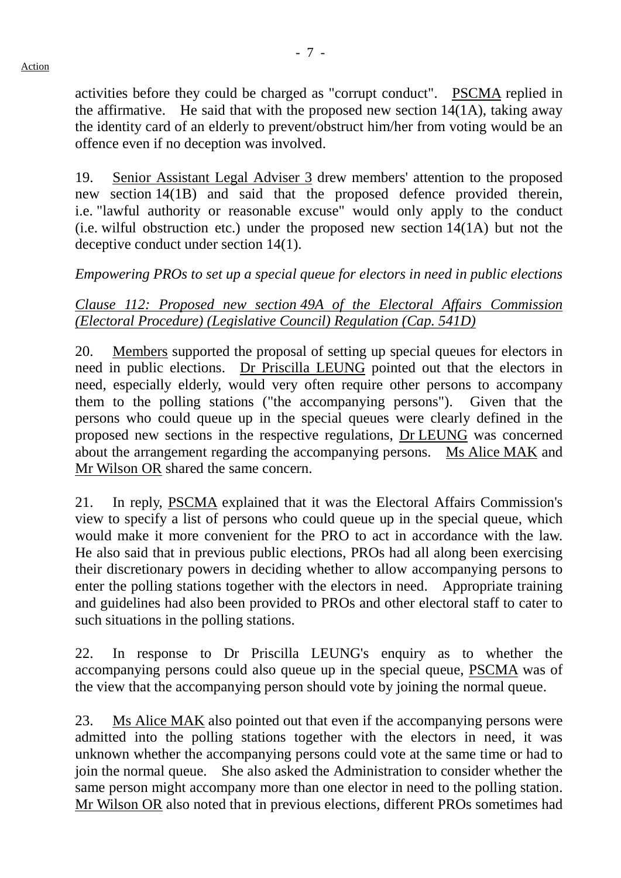activities before they could be charged as "corrupt conduct". PSCMA replied in the affirmative. He said that with the proposed new section 14(1A), taking away the identity card of an elderly to prevent/obstruct him/her from voting would be an offence even if no deception was involved.

19. Senior Assistant Legal Adviser 3 drew members' attention to the proposed new section 14(1B) and said that the proposed defence provided therein, i.e. "lawful authority or reasonable excuse" would only apply to the conduct (i.e. wilful obstruction etc.) under the proposed new section 14(1A) but not the deceptive conduct under section 14(1).

# *Empowering PROs to set up a special queue for electors in need in public elections*

*Clause 112: Proposed new section 49A of the Electoral Affairs Commission (Electoral Procedure) (Legislative Council) Regulation (Cap. 541D)*

20. Members supported the proposal of setting up special queues for electors in need in public elections. Dr Priscilla LEUNG pointed out that the electors in need, especially elderly, would very often require other persons to accompany them to the polling stations ("the accompanying persons"). Given that the persons who could queue up in the special queues were clearly defined in the proposed new sections in the respective regulations, Dr LEUNG was concerned about the arrangement regarding the accompanying persons. Ms Alice MAK and Mr Wilson OR shared the same concern.

21. In reply, PSCMA explained that it was the Electoral Affairs Commission's view to specify a list of persons who could queue up in the special queue, which would make it more convenient for the PRO to act in accordance with the law. He also said that in previous public elections, PROs had all along been exercising their discretionary powers in deciding whether to allow accompanying persons to enter the polling stations together with the electors in need. Appropriate training and guidelines had also been provided to PROs and other electoral staff to cater to such situations in the polling stations.

22. In response to Dr Priscilla LEUNG's enquiry as to whether the accompanying persons could also queue up in the special queue, PSCMA was of the view that the accompanying person should vote by joining the normal queue.

23. Ms Alice MAK also pointed out that even if the accompanying persons were admitted into the polling stations together with the electors in need, it was unknown whether the accompanying persons could vote at the same time or had to join the normal queue. She also asked the Administration to consider whether the same person might accompany more than one elector in need to the polling station. Mr Wilson OR also noted that in previous elections, different PROs sometimes had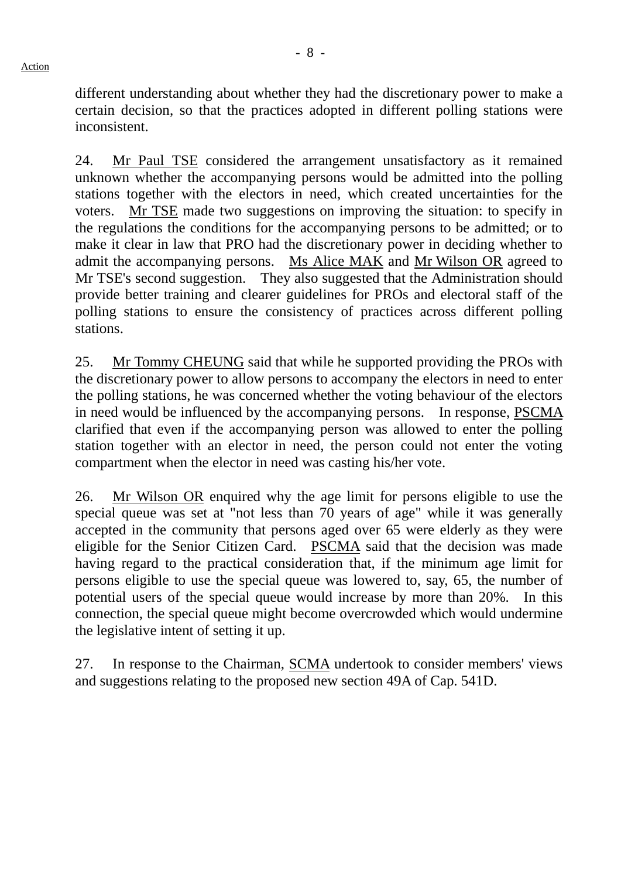different understanding about whether they had the discretionary power to make a certain decision, so that the practices adopted in different polling stations were inconsistent.

24. Mr Paul TSE considered the arrangement unsatisfactory as it remained unknown whether the accompanying persons would be admitted into the polling stations together with the electors in need, which created uncertainties for the voters. Mr TSE made two suggestions on improving the situation: to specify in the regulations the conditions for the accompanying persons to be admitted; or to make it clear in law that PRO had the discretionary power in deciding whether to admit the accompanying persons. Ms Alice MAK and Mr Wilson OR agreed to Mr TSE's second suggestion. They also suggested that the Administration should provide better training and clearer guidelines for PROs and electoral staff of the polling stations to ensure the consistency of practices across different polling stations.

25. Mr Tommy CHEUNG said that while he supported providing the PROs with the discretionary power to allow persons to accompany the electors in need to enter the polling stations, he was concerned whether the voting behaviour of the electors in need would be influenced by the accompanying persons. In response, PSCMA clarified that even if the accompanying person was allowed to enter the polling station together with an elector in need, the person could not enter the voting compartment when the elector in need was casting his/her vote.

26. Mr Wilson OR enquired why the age limit for persons eligible to use the special queue was set at "not less than 70 years of age" while it was generally accepted in the community that persons aged over 65 were elderly as they were eligible for the Senior Citizen Card. PSCMA said that the decision was made having regard to the practical consideration that, if the minimum age limit for persons eligible to use the special queue was lowered to, say, 65, the number of potential users of the special queue would increase by more than 20%. In this connection, the special queue might become overcrowded which would undermine the legislative intent of setting it up.

27. In response to the Chairman, SCMA undertook to consider members' views and suggestions relating to the proposed new section 49A of Cap. 541D.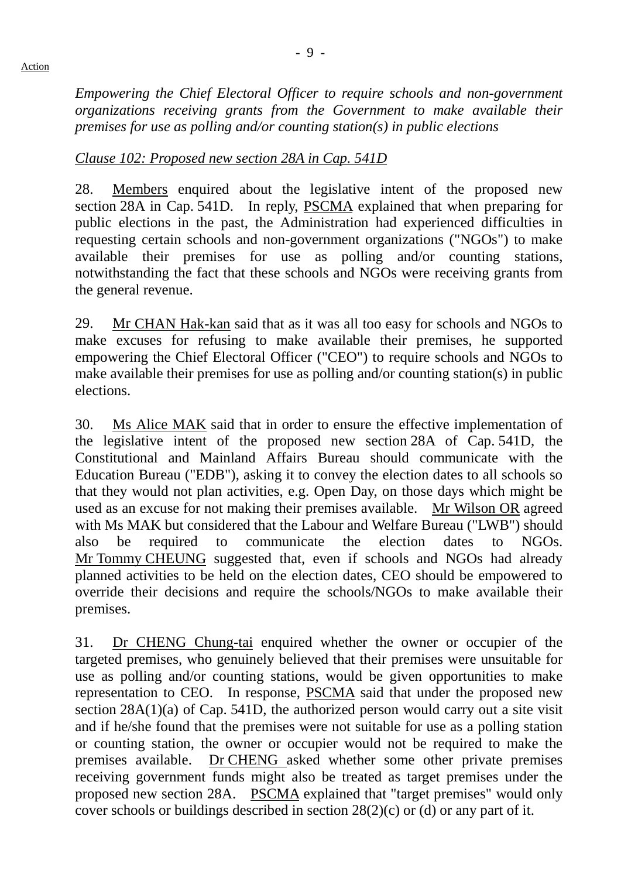*Empowering the Chief Electoral Officer to require schools and non-government organizations receiving grants from the Government to make available their premises for use as polling and/or counting station(s) in public elections*

# *Clause 102: Proposed new section 28A in Cap. 541D*

28. Members enquired about the legislative intent of the proposed new section 28A in Cap. 541D. In reply, PSCMA explained that when preparing for public elections in the past, the Administration had experienced difficulties in requesting certain schools and non-government organizations ("NGOs") to make available their premises for use as polling and/or counting stations, notwithstanding the fact that these schools and NGOs were receiving grants from the general revenue.

29. Mr CHAN Hak-kan said that as it was all too easy for schools and NGOs to make excuses for refusing to make available their premises, he supported empowering the Chief Electoral Officer ("CEO") to require schools and NGOs to make available their premises for use as polling and/or counting station(s) in public elections.

30. Ms Alice MAK said that in order to ensure the effective implementation of the legislative intent of the proposed new section 28A of Cap. 541D, the Constitutional and Mainland Affairs Bureau should communicate with the Education Bureau ("EDB"), asking it to convey the election dates to all schools so that they would not plan activities, e.g. Open Day, on those days which might be used as an excuse for not making their premises available. Mr Wilson OR agreed with Ms MAK but considered that the Labour and Welfare Bureau ("LWB") should also be required to communicate the election dates to NGOs. Mr Tommy CHEUNG suggested that, even if schools and NGOs had already planned activities to be held on the election dates, CEO should be empowered to override their decisions and require the schools/NGOs to make available their premises.

31. Dr CHENG Chung-tai enquired whether the owner or occupier of the targeted premises, who genuinely believed that their premises were unsuitable for use as polling and/or counting stations, would be given opportunities to make representation to CEO. In response, PSCMA said that under the proposed new section 28A(1)(a) of Cap. 541D, the authorized person would carry out a site visit and if he/she found that the premises were not suitable for use as a polling station or counting station, the owner or occupier would not be required to make the premises available. Dr CHENG asked whether some other private premises receiving government funds might also be treated as target premises under the proposed new section 28A. PSCMA explained that "target premises" would only cover schools or buildings described in section 28(2)(c) or (d) or any part of it.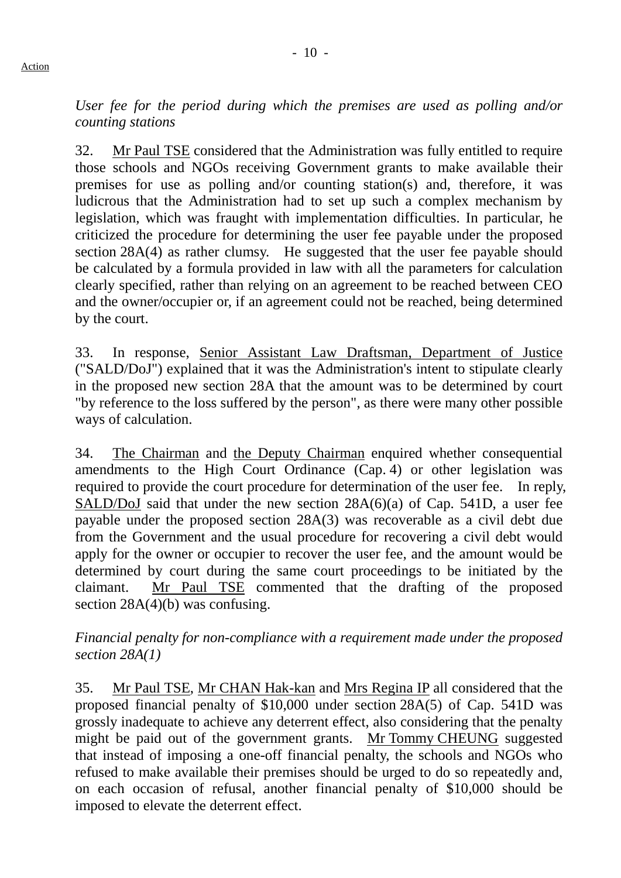*User fee for the period during which the premises are used as polling and/or counting stations*

32. Mr Paul TSE considered that the Administration was fully entitled to require those schools and NGOs receiving Government grants to make available their premises for use as polling and/or counting station(s) and, therefore, it was ludicrous that the Administration had to set up such a complex mechanism by legislation, which was fraught with implementation difficulties. In particular, he criticized the procedure for determining the user fee payable under the proposed section 28A(4) as rather clumsy. He suggested that the user fee payable should be calculated by a formula provided in law with all the parameters for calculation clearly specified, rather than relying on an agreement to be reached between CEO and the owner/occupier or, if an agreement could not be reached, being determined by the court.

33. In response, Senior Assistant Law Draftsman, Department of Justice ("SALD/DoJ") explained that it was the Administration's intent to stipulate clearly in the proposed new section 28A that the amount was to be determined by court "by reference to the loss suffered by the person", as there were many other possible ways of calculation.

34. The Chairman and the Deputy Chairman enquired whether consequential amendments to the High Court Ordinance (Cap. 4) or other legislation was required to provide the court procedure for determination of the user fee. In reply, SALD/DoJ said that under the new section 28A(6)(a) of Cap. 541D, a user fee payable under the proposed section 28A(3) was recoverable as a civil debt due from the Government and the usual procedure for recovering a civil debt would apply for the owner or occupier to recover the user fee, and the amount would be determined by court during the same court proceedings to be initiated by the claimant. Mr Paul TSE commented that the drafting of the proposed section 28A(4)(b) was confusing.

#### *Financial penalty for non-compliance with a requirement made under the proposed section 28A(1)*

35. Mr Paul TSE, Mr CHAN Hak-kan and Mrs Regina IP all considered that the proposed financial penalty of \$10,000 under section 28A(5) of Cap. 541D was grossly inadequate to achieve any deterrent effect, also considering that the penalty might be paid out of the government grants. Mr Tommy CHEUNG suggested that instead of imposing a one-off financial penalty, the schools and NGOs who refused to make available their premises should be urged to do so repeatedly and, on each occasion of refusal, another financial penalty of \$10,000 should be imposed to elevate the deterrent effect.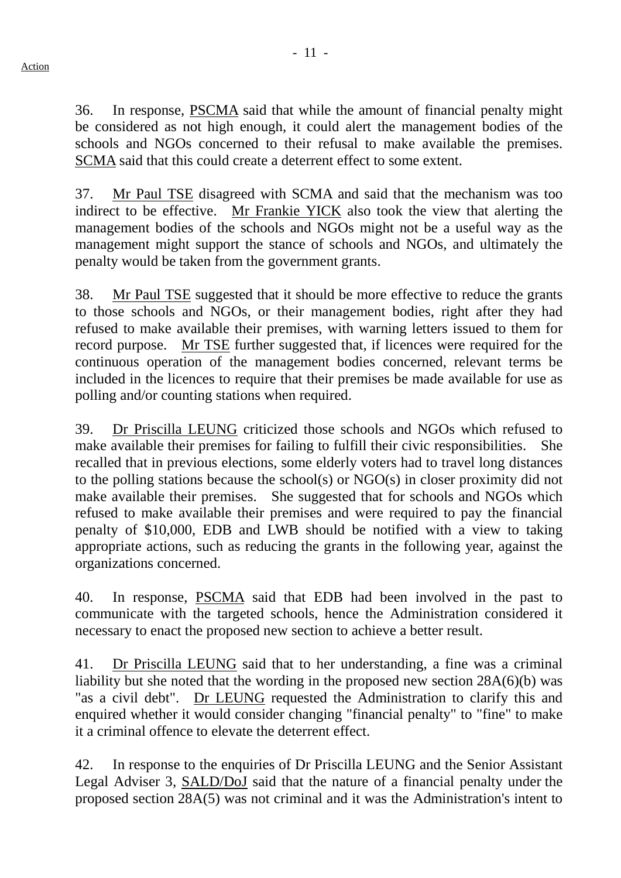36. In response, PSCMA said that while the amount of financial penalty might be considered as not high enough, it could alert the management bodies of the schools and NGOs concerned to their refusal to make available the premises. SCMA said that this could create a deterrent effect to some extent.

37. Mr Paul TSE disagreed with SCMA and said that the mechanism was too indirect to be effective. Mr Frankie YICK also took the view that alerting the management bodies of the schools and NGOs might not be a useful way as the management might support the stance of schools and NGOs, and ultimately the penalty would be taken from the government grants.

38. Mr Paul TSE suggested that it should be more effective to reduce the grants to those schools and NGOs, or their management bodies, right after they had refused to make available their premises, with warning letters issued to them for record purpose. Mr TSE further suggested that, if licences were required for the continuous operation of the management bodies concerned, relevant terms be included in the licences to require that their premises be made available for use as polling and/or counting stations when required.

39. Dr Priscilla LEUNG criticized those schools and NGOs which refused to make available their premises for failing to fulfill their civic responsibilities. She recalled that in previous elections, some elderly voters had to travel long distances to the polling stations because the school(s) or NGO(s) in closer proximity did not make available their premises. She suggested that for schools and NGOs which refused to make available their premises and were required to pay the financial penalty of \$10,000, EDB and LWB should be notified with a view to taking appropriate actions, such as reducing the grants in the following year, against the organizations concerned.

40. In response, PSCMA said that EDB had been involved in the past to communicate with the targeted schools, hence the Administration considered it necessary to enact the proposed new section to achieve a better result.

41. Dr Priscilla LEUNG said that to her understanding, a fine was a criminal liability but she noted that the wording in the proposed new section 28A(6)(b) was "as a civil debt". Dr LEUNG requested the Administration to clarify this and enquired whether it would consider changing "financial penalty" to "fine" to make it a criminal offence to elevate the deterrent effect.

42. In response to the enquiries of Dr Priscilla LEUNG and the Senior Assistant Legal Adviser 3, SALD/DoJ said that the nature of a financial penalty under the proposed section 28A(5) was not criminal and it was the Administration's intent to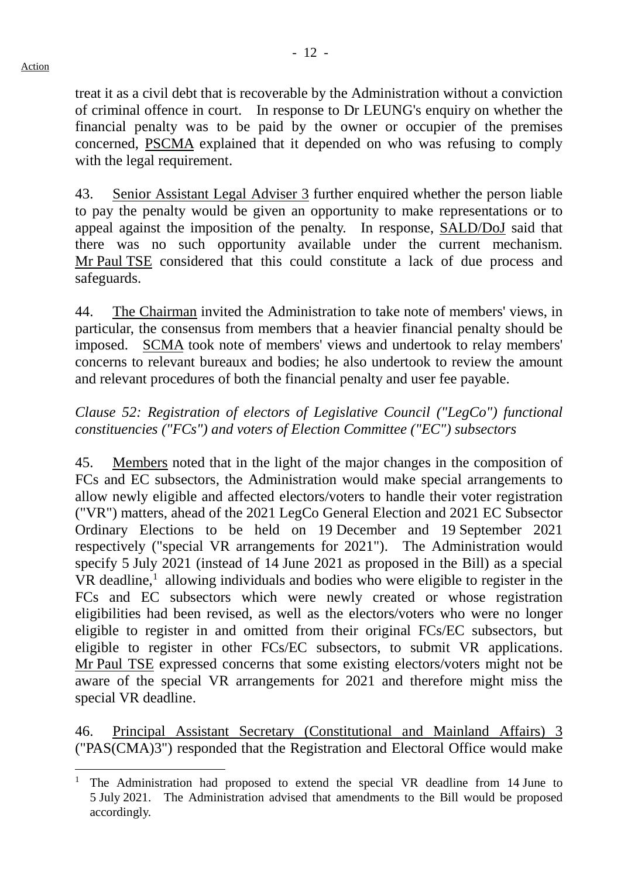treat it as a civil debt that is recoverable by the Administration without a conviction of criminal offence in court. In response to Dr LEUNG's enquiry on whether the financial penalty was to be paid by the owner or occupier of the premises concerned, PSCMA explained that it depended on who was refusing to comply with the legal requirement.

43. Senior Assistant Legal Adviser 3 further enquired whether the person liable to pay the penalty would be given an opportunity to make representations or to appeal against the imposition of the penalty. In response, SALD/DoJ said that there was no such opportunity available under the current mechanism. Mr Paul TSE considered that this could constitute a lack of due process and safeguards.

44. The Chairman invited the Administration to take note of members' views, in particular, the consensus from members that a heavier financial penalty should be imposed. SCMA took note of members' views and undertook to relay members' concerns to relevant bureaux and bodies; he also undertook to review the amount and relevant procedures of both the financial penalty and user fee payable.

# *Clause 52: Registration of electors of Legislative Council ("LegCo") functional constituencies ("FCs") and voters of Election Committee ("EC") subsectors*

45. Members noted that in the light of the major changes in the composition of FCs and EC subsectors, the Administration would make special arrangements to allow newly eligible and affected electors/voters to handle their voter registration ("VR") matters, ahead of the 2021 LegCo General Election and 2021 EC Subsector Ordinary Elections to be held on 19 December and 19 September 2021 respectively ("special VR arrangements for 2021"). The Administration would specify 5 July 2021 (instead of 14 June 2021 as proposed in the Bill) as a special  $VR$  deadline,<sup>[1](#page-11-0)</sup> allowing individuals and bodies who were eligible to register in the FCs and EC subsectors which were newly created or whose registration eligibilities had been revised, as well as the electors/voters who were no longer eligible to register in and omitted from their original FCs/EC subsectors, but eligible to register in other FCs/EC subsectors, to submit VR applications. Mr Paul TSE expressed concerns that some existing electors/voters might not be aware of the special VR arrangements for 2021 and therefore might miss the special VR deadline.

46. Principal Assistant Secretary (Constitutional and Mainland Affairs) 3 ("PAS(CMA)3") responded that the Registration and Electoral Office would make

<span id="page-11-0"></span> <sup>1</sup> The Administration had proposed to extend the special VR deadline from 14 June to 5 July 2021. The Administration advised that amendments to the Bill would be proposed accordingly.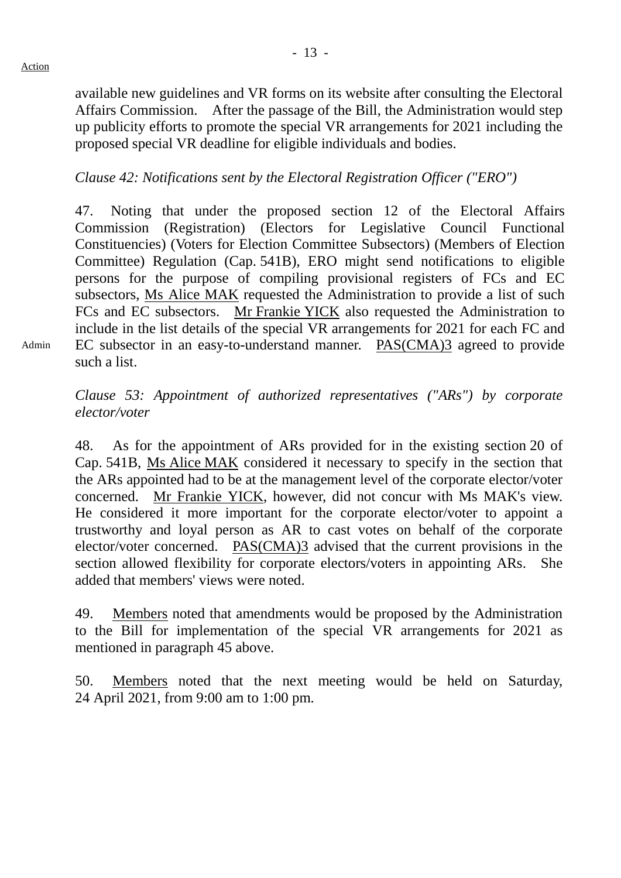Admin

available new guidelines and VR forms on its website after consulting the Electoral Affairs Commission. After the passage of the Bill, the Administration would step up publicity efforts to promote the special VR arrangements for 2021 including the proposed special VR deadline for eligible individuals and bodies.

### *Clause 42: Notifications sent by the Electoral Registration Officer ("ERO")*

47. Noting that under the proposed section 12 of the Electoral Affairs Commission (Registration) (Electors for Legislative Council Functional Constituencies) (Voters for Election Committee Subsectors) (Members of Election Committee) Regulation (Cap. 541B), ERO might send notifications to eligible persons for the purpose of compiling provisional registers of FCs and EC subsectors, Ms Alice MAK requested the Administration to provide a list of such FCs and EC subsectors. Mr Frankie YICK also requested the Administration to include in the list details of the special VR arrangements for 2021 for each FC and EC subsector in an easy-to-understand manner. PAS(CMA)3 agreed to provide such a list.

*Clause 53: Appointment of authorized representatives ("ARs") by corporate elector/voter*

48. As for the appointment of ARs provided for in the existing section 20 of Cap. 541B, Ms Alice MAK considered it necessary to specify in the section that the ARs appointed had to be at the management level of the corporate elector/voter concerned. Mr Frankie YICK, however, did not concur with Ms MAK's view. He considered it more important for the corporate elector/voter to appoint a trustworthy and loyal person as AR to cast votes on behalf of the corporate elector/voter concerned. PAS(CMA)3 advised that the current provisions in the section allowed flexibility for corporate electors/voters in appointing ARs. She added that members' views were noted.

49. Members noted that amendments would be proposed by the Administration to the Bill for implementation of the special VR arrangements for 2021 as mentioned in paragraph 45 above.

50. Members noted that the next meeting would be held on Saturday, 24 April 2021, from 9:00 am to 1:00 pm.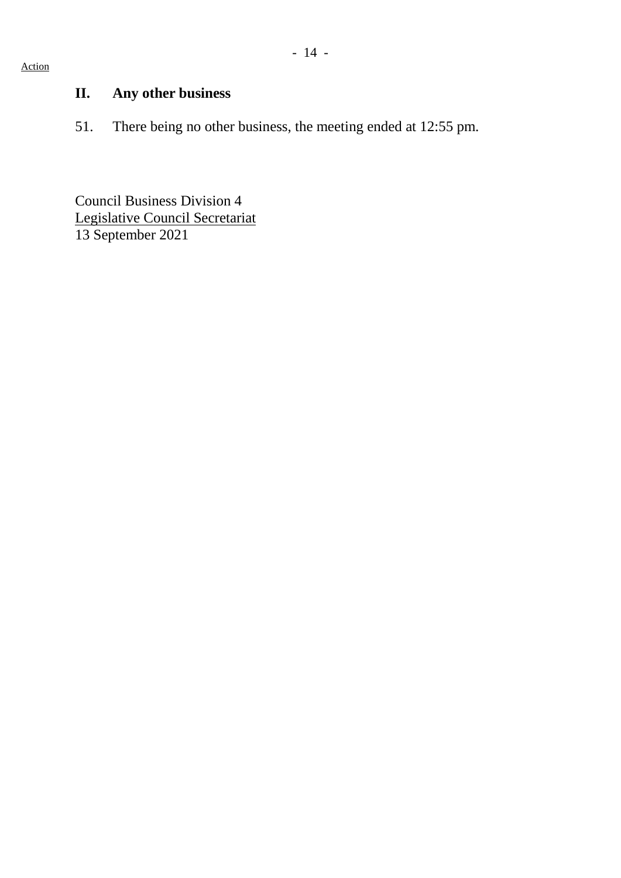#### Action

# **II. Any other business**

51. There being no other business, the meeting ended at 12:55 pm.

Council Business Division 4 Legislative Council Secretariat 13 September 2021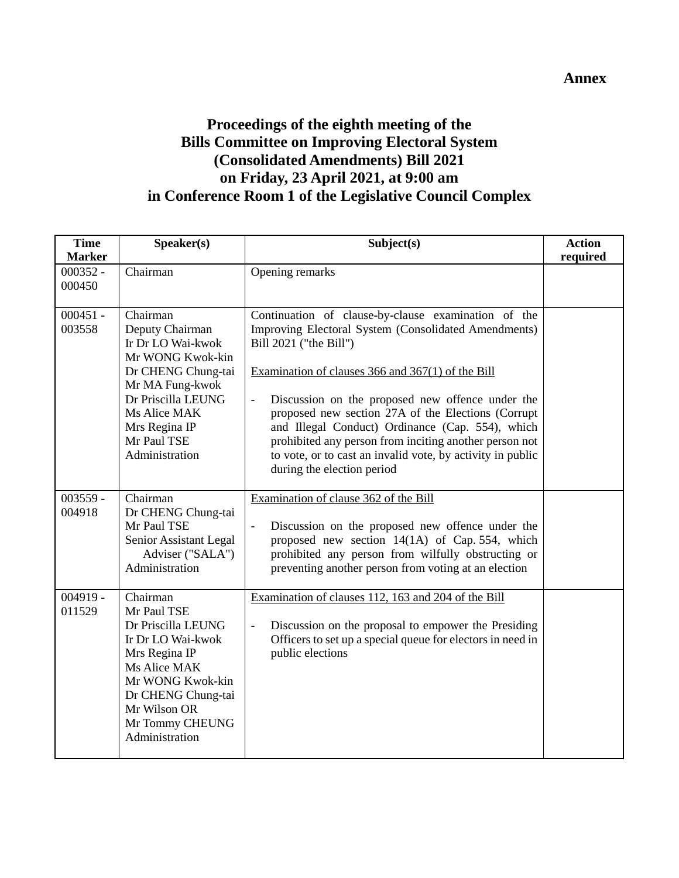# **Proceedings of the eighth meeting of the Bills Committee on Improving Electoral System (Consolidated Amendments) Bill 2021 on Friday, 23 April 2021, at 9:00 am in Conference Room 1 of the Legislative Council Complex**

| <b>Time</b><br><b>Marker</b> | Speaker(s)                                                                                                                                                                                            | Subject(s)                                                                                                                                                                                                                                                                                                                                                                                                                                                                                                                                 | <b>Action</b><br>required |
|------------------------------|-------------------------------------------------------------------------------------------------------------------------------------------------------------------------------------------------------|--------------------------------------------------------------------------------------------------------------------------------------------------------------------------------------------------------------------------------------------------------------------------------------------------------------------------------------------------------------------------------------------------------------------------------------------------------------------------------------------------------------------------------------------|---------------------------|
| $000352 -$<br>000450         | Chairman                                                                                                                                                                                              | Opening remarks                                                                                                                                                                                                                                                                                                                                                                                                                                                                                                                            |                           |
| $000451 -$<br>003558         | Chairman<br>Deputy Chairman<br>Ir Dr LO Wai-kwok<br>Mr WONG Kwok-kin<br>Dr CHENG Chung-tai<br>Mr MA Fung-kwok<br>Dr Priscilla LEUNG<br>Ms Alice MAK<br>Mrs Regina IP<br>Mr Paul TSE<br>Administration | Continuation of clause-by-clause examination of the<br>Improving Electoral System (Consolidated Amendments)<br>Bill 2021 ("the Bill")<br>Examination of clauses 366 and 367(1) of the Bill<br>Discussion on the proposed new offence under the<br>$\overline{\phantom{0}}$<br>proposed new section 27A of the Elections (Corrupt<br>and Illegal Conduct) Ordinance (Cap. 554), which<br>prohibited any person from inciting another person not<br>to vote, or to cast an invalid vote, by activity in public<br>during the election period |                           |
| $003559 -$<br>004918         | Chairman<br>Dr CHENG Chung-tai<br>Mr Paul TSE<br>Senior Assistant Legal<br>Adviser ("SALA")<br>Administration                                                                                         | Examination of clause 362 of the Bill<br>Discussion on the proposed new offence under the<br>$\frac{1}{2}$<br>proposed new section 14(1A) of Cap. 554, which<br>prohibited any person from wilfully obstructing or<br>preventing another person from voting at an election                                                                                                                                                                                                                                                                 |                           |
| $004919 -$<br>011529         | Chairman<br>Mr Paul TSE<br>Dr Priscilla LEUNG<br>Ir Dr LO Wai-kwok<br>Mrs Regina IP<br>Ms Alice MAK<br>Mr WONG Kwok-kin<br>Dr CHENG Chung-tai<br>Mr Wilson OR<br>Mr Tommy CHEUNG<br>Administration    | Examination of clauses 112, 163 and 204 of the Bill<br>Discussion on the proposal to empower the Presiding<br>Officers to set up a special queue for electors in need in<br>public elections                                                                                                                                                                                                                                                                                                                                               |                           |

#### **Annex**